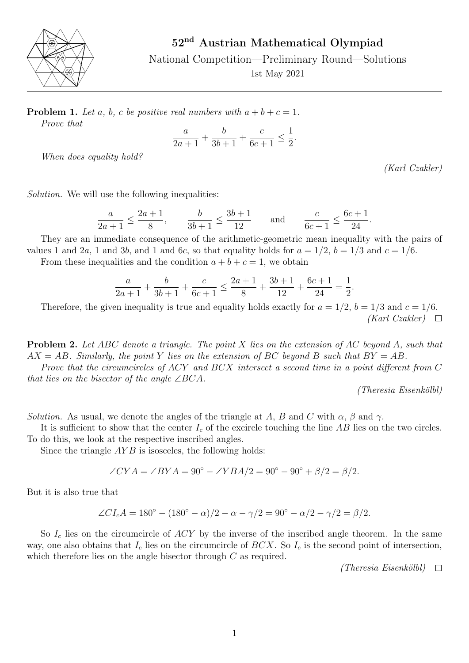

52nd Austrian Mathematical Olympiad

National Competition—Preliminary Round—Solutions

1st May 2021

**Problem 1.** Let a, b, c be positive real numbers with  $a + b + c = 1$ . Prove that

$$
\frac{a}{2a+1} + \frac{b}{3b+1} + \frac{c}{6c+1} \le \frac{1}{2}.
$$

When does equality hold?

(Karl Czakler)

Solution. We will use the following inequalities:

$$
\frac{a}{2a+1} \le \frac{2a+1}{8}, \qquad \frac{b}{3b+1} \le \frac{3b+1}{12} \qquad \text{and} \qquad \frac{c}{6c+1} \le \frac{6c+1}{24}.
$$

They are an immediate consequence of the arithmetic-geometric mean inequality with the pairs of values 1 and 2a, 1 and 3b, and 1 and 6c, so that equality holds for  $a = 1/2$ ,  $b = 1/3$  and  $c = 1/6$ .

From these inequalities and the condition  $a + b + c = 1$ , we obtain

$$
\frac{a}{2a+1} + \frac{b}{3b+1} + \frac{c}{6c+1} \le \frac{2a+1}{8} + \frac{3b+1}{12} + \frac{6c+1}{24} = \frac{1}{2}.
$$

Therefore, the given inequality is true and equality holds exactly for  $a = 1/2$ ,  $b = 1/3$  and  $c = 1/6$ .  $(Karl Czakler) \quad \Box$ 

Problem 2. Let ABC denote a triangle. The point X lies on the extension of AC beyond A, such that  $AX = AB$ . Similarly, the point Y lies on the extension of BC beyond B such that  $BY = AB$ .

Prove that the circumcircles of ACY and BCX intersect a second time in a point different from C that lies on the bisector of the angle  $\angle BCA$ .

(Theresia Eisenkölbl)

Solution. As usual, we denote the angles of the triangle at A, B and C with  $\alpha$ ,  $\beta$  and  $\gamma$ .

It is sufficient to show that the center  $I_c$  of the excircle touching the line AB lies on the two circles. To do this, we look at the respective inscribed angles.

Since the triangle  $AYB$  is isosceles, the following holds:

$$
\angle CYA = \angle BYA = 90^{\circ} - \angle YBA/2 = 90^{\circ} - 90^{\circ} + \beta/2 = \beta/2.
$$

But it is also true that

$$
\angle CI_c A = 180^\circ - (180^\circ - \alpha)/2 - \alpha - \gamma/2 = 90^\circ - \alpha/2 - \gamma/2 = \beta/2.
$$

So  $I_c$  lies on the circumcircle of  $ACY$  by the inverse of the inscribed angle theorem. In the same way, one also obtains that  $I_c$  lies on the circumcircle of  $BCX$ . So  $I_c$  is the second point of intersection, which therefore lies on the angle bisector through C as required.

 $(Theresia Eisenköll) \quad \Box$